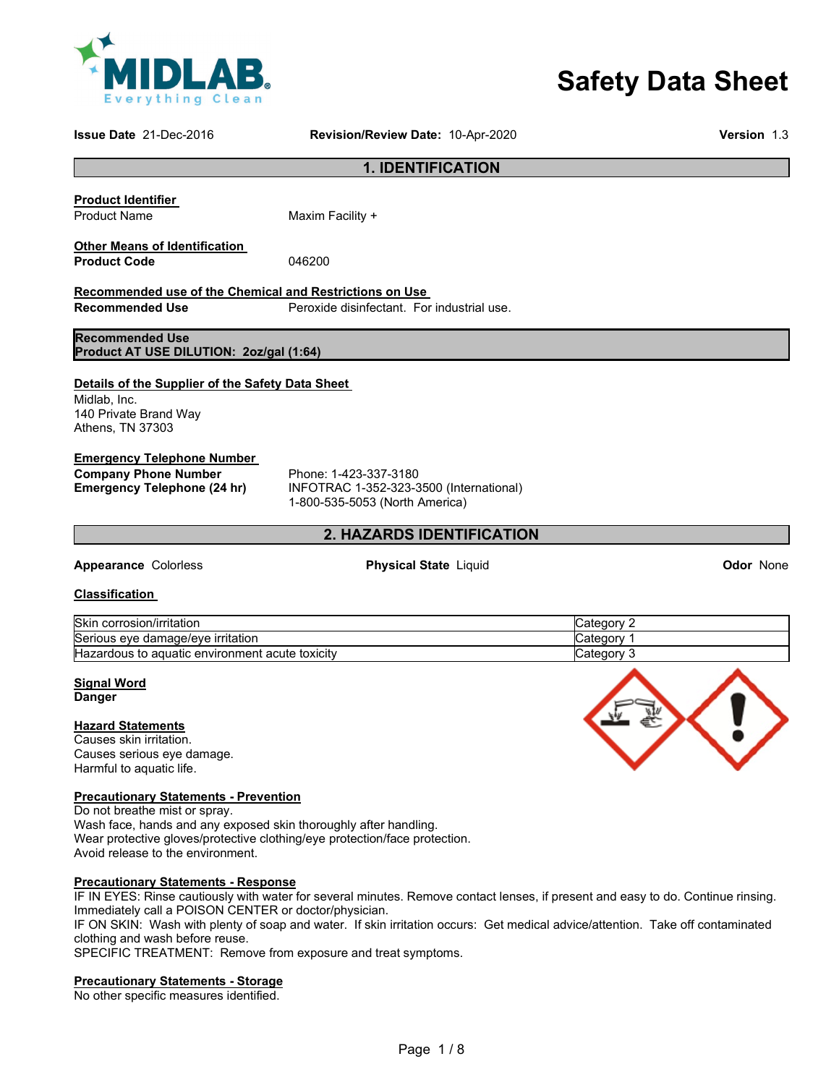

# **Safety Data Sheet**

**Issue Date** 21-Dec-2016 **Revision/Review Date:** 10-Apr-2020 **Version** 1.3

## **1. IDENTIFICATION**

# **Product Identifier**

Product Name Maxim Facility +

#### **Other Means of Identification Product Code** 046200

**Recommended use of the Chemical and Restrictions on Use Recommended Use**  Peroxide disinfectant. For industrial use.

**Recommended Use**

# **Product AT USE DILUTION: 2oz/gal (1:64)**

# **Details of the Supplier of the Safety Data Sheet**

Midlab, Inc. 140 Private Brand Way Athens, TN 37303

# **Emergency Telephone Number**

**Company Phone Number** Phone: 1-423-337-3180<br> **Emergency Telephone (24 hr)** INFOTRAC 1-352-323-3

**Emergency Telephone (24 hr)** INFOTRAC 1-352-323-3500 (International) 1-800-535-5053 (North America)

# **2. HAZARDS IDENTIFICATION**

# **Appearance** Colorless **Physical State** Liquid **Odor** None

#### **Classification**

| Skin<br>corrosion/irritation                                           | ∵ ategoryٽ |
|------------------------------------------------------------------------|------------|
| Serious eve damage/eve irritation                                      | lCategor\  |
| <b>Hazardous</b><br>toxicity<br>. aquatic environment י<br>acute<br>to | lCategorv  |

# **Signal Word**

**Danger** 

#### **Hazard Statements**

Causes skin irritation. Causes serious eye damage. Harmful to aquatic life.

# **Precautionary Statements - Prevention**

Do not breathe mist or spray. Wash face, hands and any exposed skin thoroughly after handling. Wear protective gloves/protective clothing/eye protection/face protection. Avoid release to the environment.

#### **Precautionary Statements - Response**

IF IN EYES: Rinse cautiously with water for several minutes. Remove contact lenses, if present and easy to do. Continue rinsing. Immediately call a POISON CENTER or doctor/physician.

IF ON SKIN: Wash with plenty of soap and water. If skin irritation occurs: Get medical advice/attention. Take off contaminated clothing and wash before reuse.

SPECIFIC TREATMENT: Remove from exposure and treat symptoms.

# **Precautionary Statements - Storage**

No other specific measures identified.

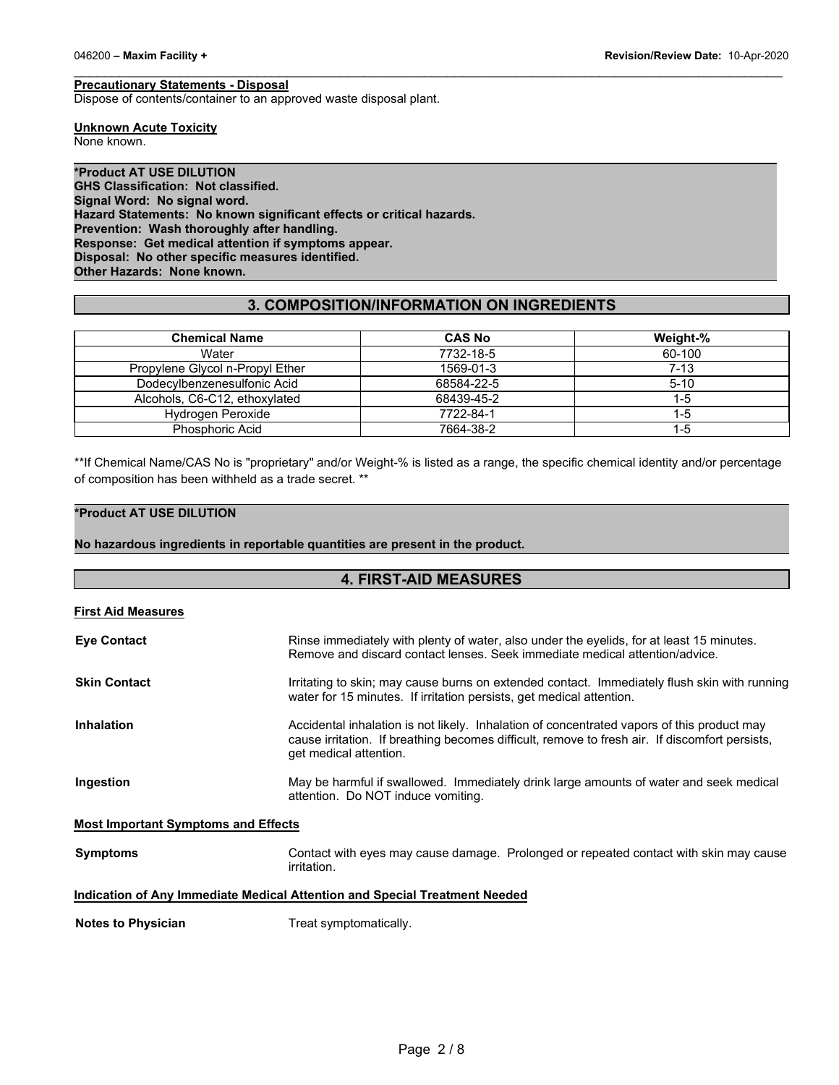#### **Precautionary Statements - Disposal**

Dispose of contents/container to an approved waste disposal plant.

**Unknown Acute Toxicity**

None known.

**\*Product AT USE DILUTION GHS Classification: Not classified. Signal Word: No signal word. Hazard Statements: No known significant effects or critical hazards. Prevention: Wash thoroughly after handling. Response: Get medical attention if symptoms appear. Disposal: No other specific measures identified. Other Hazards: None known.**

# **3. COMPOSITION/INFORMATION ON INGREDIENTS**

\_\_\_\_\_\_\_\_\_\_\_\_\_\_\_\_\_\_\_\_\_\_\_\_\_\_\_\_\_\_\_\_\_\_\_\_\_\_\_\_\_\_\_\_\_\_\_\_\_\_\_\_\_\_\_\_\_\_\_\_\_\_\_\_\_\_\_\_\_\_\_\_\_\_\_\_\_\_\_\_\_\_\_\_\_\_\_\_\_\_\_\_\_

| <b>Chemical Name</b>            | <b>CAS No</b> | Weight-% |
|---------------------------------|---------------|----------|
| Water                           | 7732-18-5     | 60-100   |
| Propylene Glycol n-Propyl Ether | 1569-01-3     | $7 - 13$ |
| Dodecylbenzenesulfonic Acid     | 68584-22-5    | $5 - 10$ |
| Alcohols, C6-C12, ethoxylated   | 68439-45-2    | 1-5      |
| <b>Hydrogen Peroxide</b>        | 7722-84-1     | $1-5$    |
| Phosphoric Acid                 | 7664-38-2     | 1-5      |

\*\*If Chemical Name/CAS No is "proprietary" and/or Weight-% is listed as a range, the specific chemical identity and/or percentage of composition has been withheld as a trade secret. \*\*

# **\*Product AT USE DILUTION**

**No hazardous ingredients in reportable quantities are present in the product.**

# **4. FIRST-AID MEASURES First Aid Measures Eye Contact** Rinse immediately with plenty of water, also under the eyelids, for at least 15 minutes. Remove and discard contact lenses. Seek immediate medical attention/advice. **Skin Contact Integral is a struth of the set of struth** Irritating to skin; may cause burns on extended contact. Immediately flush skin with running water for 15 minutes. If irritation persists, get medical attention. **Inhalation Accidental inhalation is not likely.** Inhalation of concentrated vapors of this product may cause irritation. If breathing becomes difficult, remove to fresh air. If discomfort persists, get medical attention. **Ingestion May be harmful if swallowed. Immediately drink large amounts of water and seek medical** attention. Do NOT induce vomiting. **Most Important Symptoms and Effects Symptoms** Contact with eyes may cause damage. Prolonged or repeated contact with skin may cause irritation. **Indication of Any Immediate Medical Attention and Special Treatment Needed**

**Notes to Physician**  Treat symptomatically.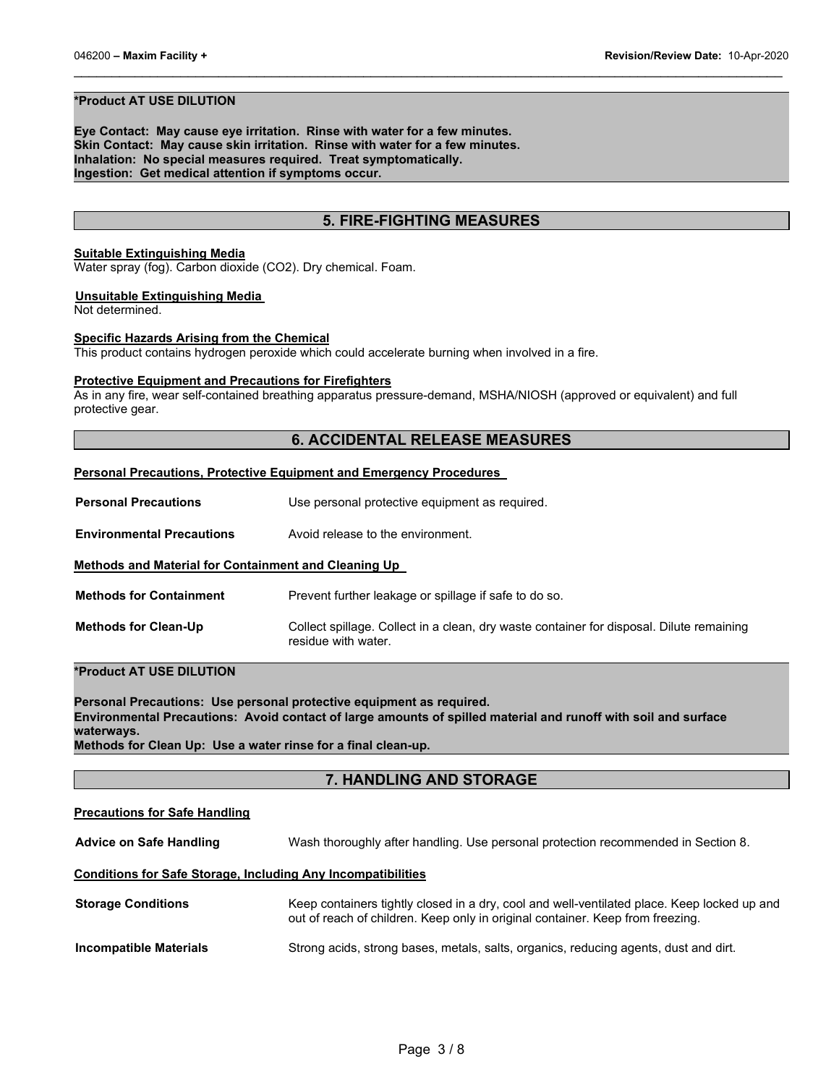#### **\*Product AT USE DILUTION**

**Eye Contact: May cause eye irritation. Rinse with water for a few minutes. Skin Contact: May cause skin irritation. Rinse with water for a few minutes. Inhalation: No special measures required. Treat symptomatically. Ingestion: Get medical attention if symptoms occur.**

# **5. FIRE-FIGHTING MEASURES**

\_\_\_\_\_\_\_\_\_\_\_\_\_\_\_\_\_\_\_\_\_\_\_\_\_\_\_\_\_\_\_\_\_\_\_\_\_\_\_\_\_\_\_\_\_\_\_\_\_\_\_\_\_\_\_\_\_\_\_\_\_\_\_\_\_\_\_\_\_\_\_\_\_\_\_\_\_\_\_\_\_\_\_\_\_\_\_\_\_\_\_\_\_

#### **Suitable Extinguishing Media**

Water spray (fog). Carbon dioxide (CO2). Dry chemical. Foam.

#### **Unsuitable Extinguishing Media**

Not determined.

#### **Specific Hazards Arising from the Chemical**

This product contains hydrogen peroxide which could accelerate burning when involved in a fire.

#### **Protective Equipment and Precautions for Firefighters**

As in any fire, wear self-contained breathing apparatus pressure-demand, MSHA/NIOSH (approved or equivalent) and full protective gear.

# **6. ACCIDENTAL RELEASE MEASURES**

#### **Personal Precautions, Protective Equipment and Emergency Procedures**

**Personal Precautions** Use personal protective equipment as required.

**Environmental Precautions** Avoid release to the environment.

#### **Methods and Material for Containment and Cleaning Up**

**Methods for Containment** Prevent further leakage or spillage if safe to do so.

**Methods for Clean-Up** Collect spillage. Collect in a clean, dry waste container for disposal. Dilute remaining residue with water.

### **\*Product AT USE DILUTION**

**Personal Precautions: Use personal protective equipment as required. Environmental Precautions: Avoid contact of large amounts of spilled material and runoff with soil and surface waterways.**

**Methods for Clean Up: Use a water rinse for a final clean-up.**

#### **7. HANDLING AND STORAGE**

# **Precautions for Safe Handling**

**Advice on Safe Handling** Wash thoroughly after handling. Use personal protection recommended in Section 8.

#### **Conditions for Safe Storage, Including Any Incompatibilities**

| <b>Storage Conditions</b> | Keep containers tightly closed in a dry, cool and well-ventilated place. Keep locked up and<br>out of reach of children. Keep only in original container. Keep from freezing. |
|---------------------------|-------------------------------------------------------------------------------------------------------------------------------------------------------------------------------|
| Incompatible Materials    | Strong acids, strong bases, metals, salts, organics, reducing agents, dust and dirt.                                                                                          |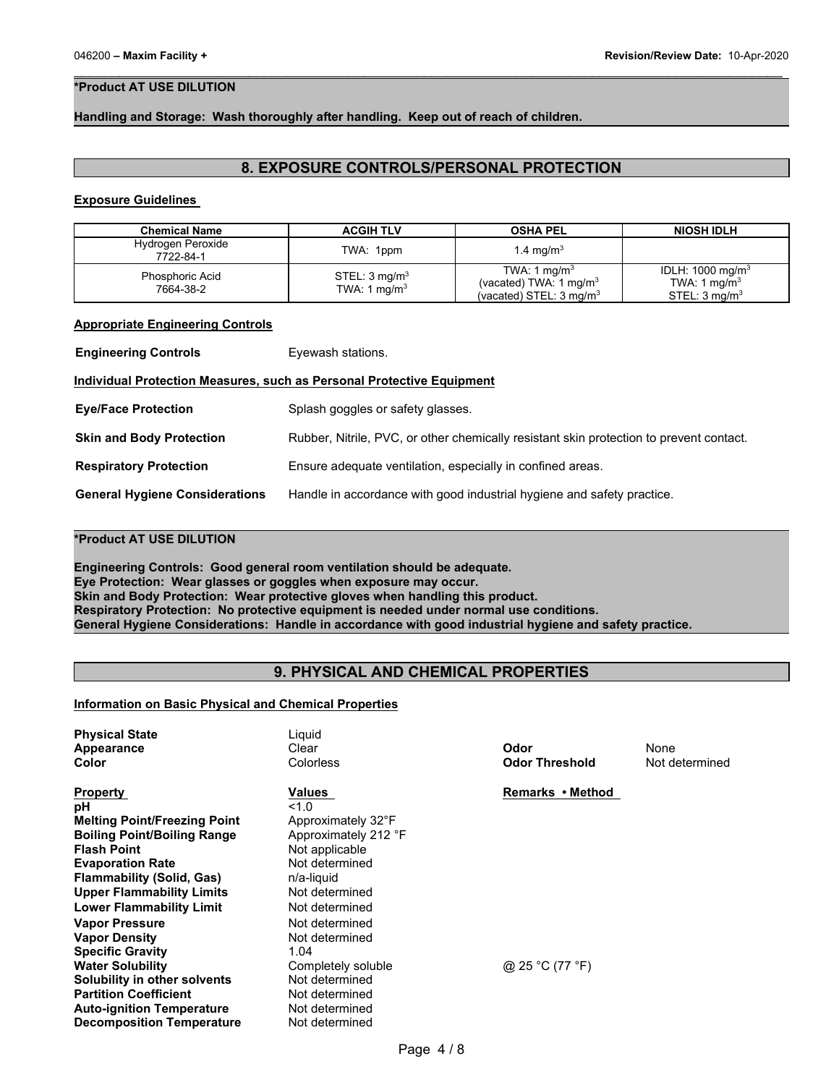# **\*Product AT USE DILUTION**

### **Handling and Storage: Wash thoroughly after handling. Keep out of reach of children.**

# **8. EXPOSURE CONTROLS/PERSONAL PROTECTION**

\_\_\_\_\_\_\_\_\_\_\_\_\_\_\_\_\_\_\_\_\_\_\_\_\_\_\_\_\_\_\_\_\_\_\_\_\_\_\_\_\_\_\_\_\_\_\_\_\_\_\_\_\_\_\_\_\_\_\_\_\_\_\_\_\_\_\_\_\_\_\_\_\_\_\_\_\_\_\_\_\_\_\_\_\_\_\_\_\_\_\_\_\_

#### **Exposure Guidelines**

| <b>Chemical Name</b>                | <b>ACGIH TLV</b>                           | <b>OSHA PEL</b>                                                                                     | <b>NIOSH IDLH</b>                                                                    |
|-------------------------------------|--------------------------------------------|-----------------------------------------------------------------------------------------------------|--------------------------------------------------------------------------------------|
| Hydrogen Peroxide<br>7722-84-1      | TWA: 1ppm                                  | 1.4 mg/m <sup>3</sup>                                                                               |                                                                                      |
| <b>Phosphoric Acid</b><br>7664-38-2 | STEL: $3 \text{ mg/m}^3$<br>TWA: 1 $mq/m3$ | TWA: 1 mg/m <sup>3</sup><br>(vacated) TWA: $1 \text{ mg/m}^3$<br>(vacated) STEL: $3 \text{ mg/m}^3$ | IDLH: 1000 mg/m <sup>3</sup><br>TWA: 1 mg/m <sup>3</sup><br>STEL: $3 \text{ mq/m}^3$ |

#### **Appropriate Engineering Controls**

| <b>Engineering Controls</b>                                                  | Eyewash stations.                                                                       |  |  |  |
|------------------------------------------------------------------------------|-----------------------------------------------------------------------------------------|--|--|--|
| <b>Individual Protection Measures, such as Personal Protective Equipment</b> |                                                                                         |  |  |  |
| <b>Eye/Face Protection</b>                                                   | Splash goggles or safety glasses.                                                       |  |  |  |
| <b>Skin and Body Protection</b>                                              | Rubber, Nitrile, PVC, or other chemically resistant skin protection to prevent contact. |  |  |  |
| <b>Respiratory Protection</b>                                                | Ensure adequate ventilation, especially in confined areas.                              |  |  |  |
| <b>General Hygiene Considerations</b>                                        | Handle in accordance with good industrial hygiene and safety practice.                  |  |  |  |

# **\*Product AT USE DILUTION**

**Engineering Controls: Good general room ventilation should be adequate. Eye Protection: Wear glasses or goggles when exposure may occur. Skin and Body Protection: Wear protective gloves when handling this product. Respiratory Protection: No protective equipment is needed under normal use conditions. General Hygiene Considerations: Handle in accordance with good industrial hygiene and safety practice.**

# **9. PHYSICAL AND CHEMICAL PROPERTIES**

#### **Information on Basic Physical and Chemical Properties**

| <b>Physical State</b><br><b>Appearance</b><br>Color | Liguid<br>Clear<br>Colorless | Odor<br><b>Odor Threshold</b> | None<br>Not determined |
|-----------------------------------------------------|------------------------------|-------------------------------|------------------------|
| <b>Property</b>                                     | Values                       | Remarks • Method              |                        |
| рH                                                  | 1.0                          |                               |                        |
| <b>Melting Point/Freezing Point</b>                 | Approximately 32°F           |                               |                        |
| <b>Boiling Point/Boiling Range</b>                  | Approximately 212 °F         |                               |                        |
| <b>Flash Point</b>                                  | Not applicable               |                               |                        |
| <b>Evaporation Rate</b>                             | Not determined               |                               |                        |
| <b>Flammability (Solid, Gas)</b>                    | n/a-liquid                   |                               |                        |
| <b>Upper Flammability Limits</b>                    | Not determined               |                               |                        |
| <b>Lower Flammability Limit</b>                     | Not determined               |                               |                        |
| <b>Vapor Pressure</b>                               | Not determined               |                               |                        |
| <b>Vapor Density</b>                                | Not determined               |                               |                        |
| <b>Specific Gravity</b>                             | 1.04                         |                               |                        |
| <b>Water Solubility</b>                             | Completely soluble           | @ 25 °C (77 °F)               |                        |
| Solubility in other solvents                        | Not determined               |                               |                        |
| <b>Partition Coefficient</b>                        | Not determined               |                               |                        |
| <b>Auto-ignition Temperature</b>                    | Not determined               |                               |                        |
| <b>Decomposition Temperature</b>                    | Not determined               |                               |                        |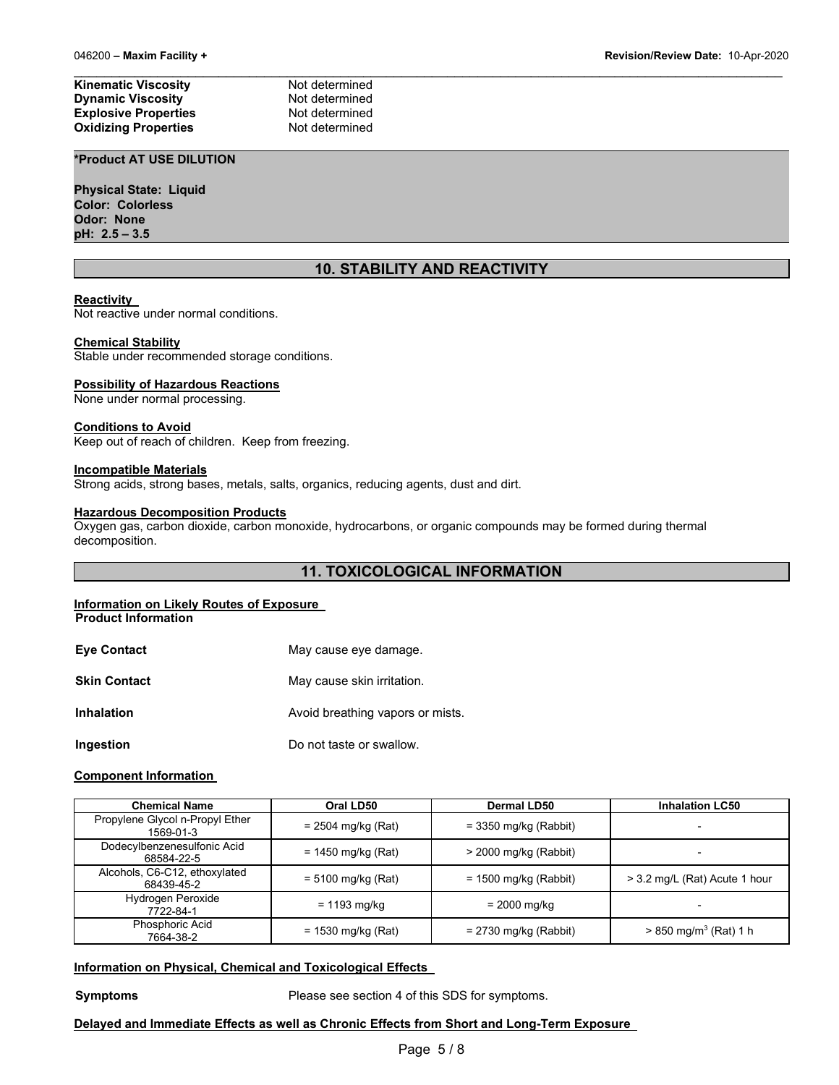**Kinematic Viscosity Not determined Dynamic Viscosity**<br> **Explosive Properties**<br>
Not determined **Explosive Properties Not determined**<br> **Oxidizing Properties Not determined Oxidizing Properties** 

# **\*Product AT USE DILUTION**

**Physical State: Liquid Color: Colorless Odor: None pH: 2.5 – 3.5**

# **10. STABILITY AND REACTIVITY**

\_\_\_\_\_\_\_\_\_\_\_\_\_\_\_\_\_\_\_\_\_\_\_\_\_\_\_\_\_\_\_\_\_\_\_\_\_\_\_\_\_\_\_\_\_\_\_\_\_\_\_\_\_\_\_\_\_\_\_\_\_\_\_\_\_\_\_\_\_\_\_\_\_\_\_\_\_\_\_\_\_\_\_\_\_\_\_\_\_\_\_\_\_

#### **Reactivity**

Not reactive under normal conditions.

#### **Chemical Stability**

Stable under recommended storage conditions.

#### **Possibility of Hazardous Reactions**

None under normal processing.

# **Conditions to Avoid**

Keep out of reach of children. Keep from freezing.

#### **Incompatible Materials**

Strong acids, strong bases, metals, salts, organics, reducing agents, dust and dirt.

#### **Hazardous Decomposition Products**

Oxygen gas, carbon dioxide, carbon monoxide, hydrocarbons, or organic compounds may be formed during thermal decomposition.

# **11. TOXICOLOGICAL INFORMATION**

#### **Information on Likely Routes of Exposure**

**Product Information** 

| <b>Eve Contact</b>  | May cause eye damage.            |
|---------------------|----------------------------------|
| <b>Skin Contact</b> | May cause skin irritation.       |
| <b>Inhalation</b>   | Avoid breathing vapors or mists. |
| Ingestion           | Do not taste or swallow.         |

#### **Component Information**

| <b>Chemical Name</b>                         | Oral LD50            | Dermal LD50             | <b>Inhalation LC50</b>              |
|----------------------------------------------|----------------------|-------------------------|-------------------------------------|
| Propylene Glycol n-Propyl Ether<br>1569-01-3 | $= 2504$ mg/kg (Rat) | $=$ 3350 mg/kg (Rabbit) |                                     |
| Dodecylbenzenesulfonic Acid<br>68584-22-5    | $= 1450$ mg/kg (Rat) | $>$ 2000 mg/kg (Rabbit) | -                                   |
| Alcohols, C6-C12, ethoxylated<br>68439-45-2  | $= 5100$ mg/kg (Rat) | $= 1500$ mg/kg (Rabbit) | > 3.2 mg/L (Rat) Acute 1 hour       |
| Hydrogen Peroxide<br>7722-84-1               | = 1193 mg/kg         | = 2000 mg/kg            | -                                   |
| Phosphoric Acid<br>7664-38-2                 | $= 1530$ mg/kg (Rat) | $= 2730$ mg/kg (Rabbit) | $> 850$ mg/m <sup>3</sup> (Rat) 1 h |

#### **Information on Physical, Chemical and Toxicological Effects**

**Symptoms** Please see section 4 of this SDS for symptoms.

### **Delayed and Immediate Effects as well as Chronic Effects from Short and Long-Term Exposure**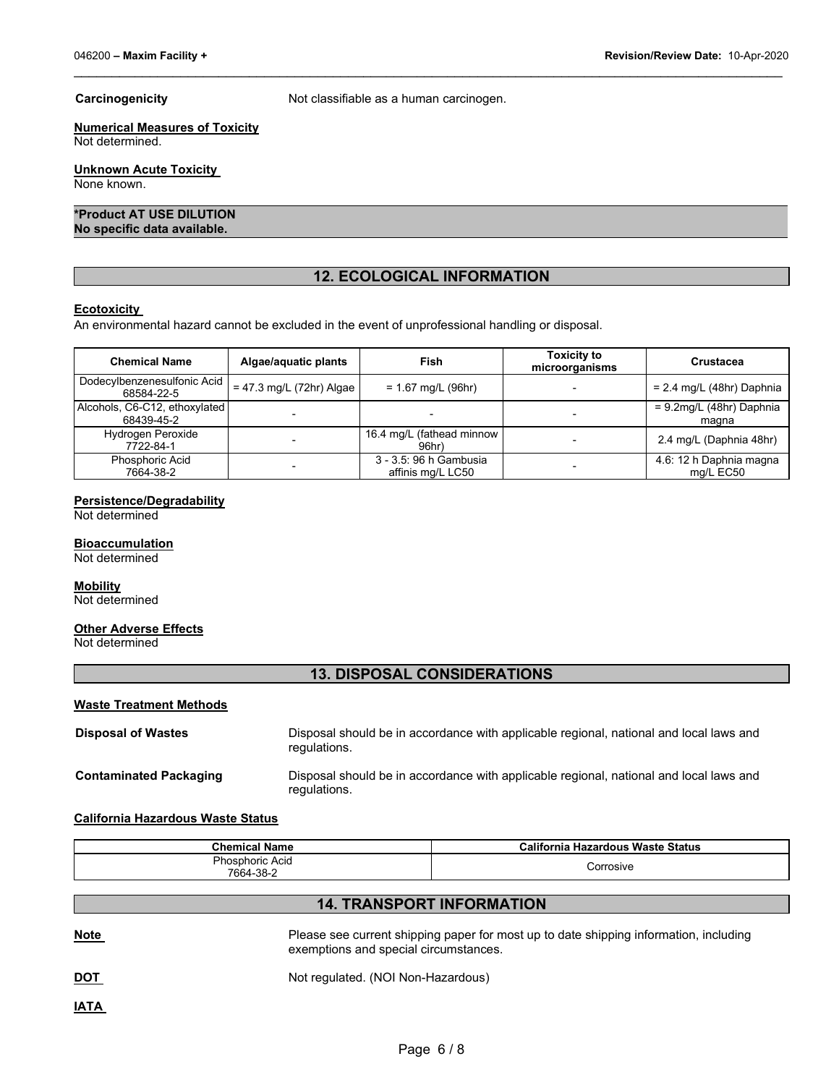**Carcinogenicity Carcinogenicity Not classifiable as a human carcinogen.** 

\_\_\_\_\_\_\_\_\_\_\_\_\_\_\_\_\_\_\_\_\_\_\_\_\_\_\_\_\_\_\_\_\_\_\_\_\_\_\_\_\_\_\_\_\_\_\_\_\_\_\_\_\_\_\_\_\_\_\_\_\_\_\_\_\_\_\_\_\_\_\_\_\_\_\_\_\_\_\_\_\_\_\_\_\_\_\_\_\_\_\_\_\_

# **Numerical Measures of Toxicity**

Not determined.

# **Unknown Acute Toxicity**

None known.

#### **\*Product AT USE DILUTION No specific data available.**

# **12. ECOLOGICAL INFORMATION**

#### **Ecotoxicity**

An environmental hazard cannot be excluded in the event of unprofessional handling or disposal.

| <b>Chemical Name</b>                        | Algae/aquatic plants       | Fish                                          | <b>Toxicity to</b><br>microorganisms | Crustacea                            |
|---------------------------------------------|----------------------------|-----------------------------------------------|--------------------------------------|--------------------------------------|
| Dodecylbenzenesulfonic Acid<br>68584-22-5   | $= 47.3$ mg/L (72hr) Algae | $= 1.67$ mg/L (96hr)                          |                                      | $= 2.4$ mg/L (48hr) Daphnia          |
| Alcohols, C6-C12, ethoxylated<br>68439-45-2 |                            |                                               |                                      | $= 9.2$ mg/L (48hr) Daphnia<br>magna |
| Hydrogen Peroxide<br>7722-84-1              |                            | 16.4 mg/L (fathead minnow<br>96 <sub>hr</sub> |                                      | 2.4 mg/L (Daphnia 48hr)              |
| <b>Phosphoric Acid</b><br>7664-38-2         |                            | 3 - 3.5: 96 h Gambusia<br>affinis mg/L LC50   |                                      | 4.6: 12 h Daphnia magna<br>mg/L EC50 |

# **Persistence/Degradability**

Not determined

#### **Bioaccumulation**

Not determined

# **Mobility**

Not determined

#### **Other Adverse Effects**

Not determined

# **13. DISPOSAL CONSIDERATIONS**

#### **Waste Treatment Methods**

| <b>Disposal of Wastes</b>     | Disposal should be in accordance with applicable regional, national and local laws and<br>regulations. |
|-------------------------------|--------------------------------------------------------------------------------------------------------|
| <b>Contaminated Packaging</b> | Disposal should be in accordance with applicable regional, national and local laws and<br>regulations. |

#### **California Hazardous Waste Status**

| <b>Chemical Name</b>   | California Hazardous Waste Status |
|------------------------|-----------------------------------|
| <b>Phosphoric Acid</b> | Corrosive                         |
| 7664-38-2              |                                   |

# **14. TRANSPORT INFORMATION**

Please see current shipping paper for most up to date shipping information, including exemptions and special circumstances.

**DOT** Not regulated. (NOI Non-Hazardous)

**IATA**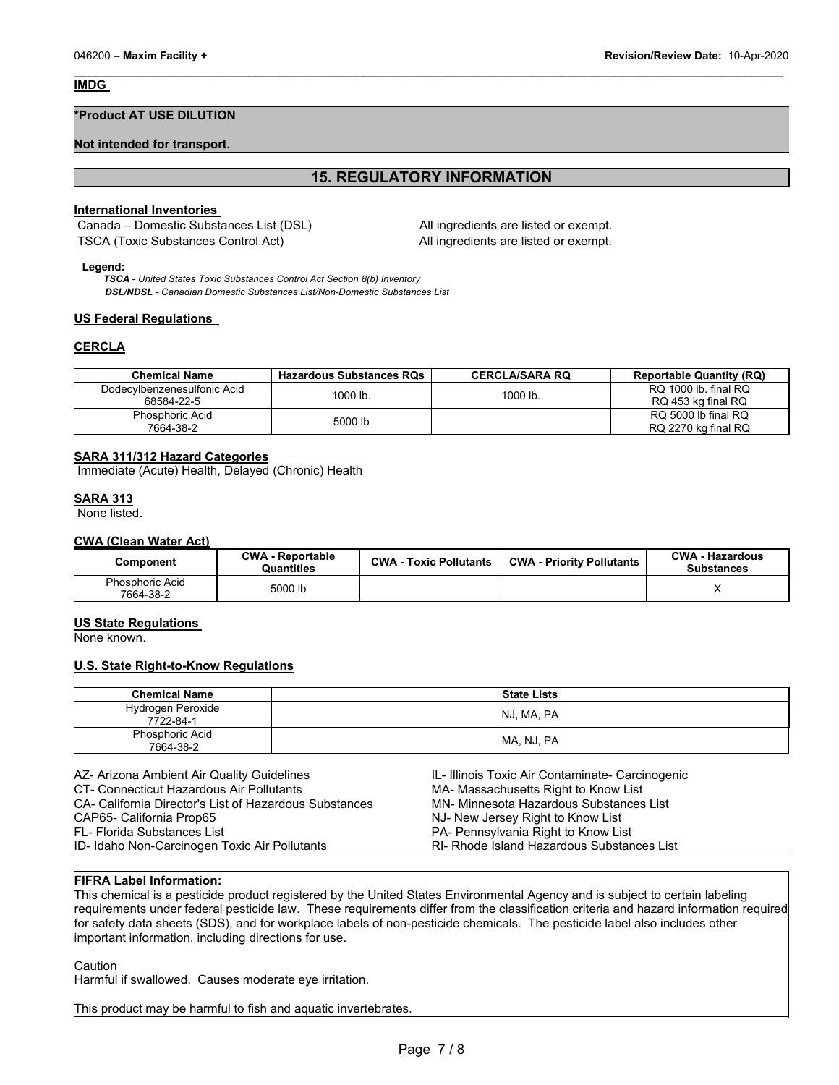#### **IMDG**

#### **\*Product AT USE DILUTION**

#### **Not intended for transport.**

# **15. REGULATORY INFORMATION**

\_\_\_\_\_\_\_\_\_\_\_\_\_\_\_\_\_\_\_\_\_\_\_\_\_\_\_\_\_\_\_\_\_\_\_\_\_\_\_\_\_\_\_\_\_\_\_\_\_\_\_\_\_\_\_\_\_\_\_\_\_\_\_\_\_\_\_\_\_\_\_\_\_\_\_\_\_\_\_\_\_\_\_\_\_\_\_\_\_\_\_\_\_

#### **International Inventories**

Canada – Domestic Substances List (DSL) All ingredients are listed or exempt. TSCA (Toxic Substances Control Act) All ingredients are listed or exempt.

#### **Legend:**

*TSCA - United States Toxic Substances Control Act Section 8(b) Inventory DSL/NDSL - Canadian Domestic Substances List/Non-Domestic Substances List*

#### **US Federal Regulations**

#### **CERCLA**

| <b>Chemical Name</b>                      | <b>Hazardous Substances RQs</b> | <b>CERCLA/SARA RQ</b> | <b>Reportable Quantity (RQ)</b>            |
|-------------------------------------------|---------------------------------|-----------------------|--------------------------------------------|
| Dodecylbenzenesulfonic Acid<br>68584-22-5 | 1000 lb.                        | 1000 lb.              | RQ 1000 lb. final RQ<br>RQ 453 kg final RQ |
| Phosphoric Acid<br>7664-38-2              | 5000 lb                         |                       | RQ 5000 lb final RQ<br>RQ 2270 kg final RQ |

### **SARA 311/312 Hazard Categories**

Immediate (Acute) Health, Delayed (Chronic) Health

#### **SARA 313**

None listed.

#### **CWA (Clean Water Act)**

| Component                    | <b>CWA - Reportable</b><br>Quantities | <b>CWA - Toxic Pollutants</b> | <b>CWA - Priority Pollutants</b> | <b>CWA - Hazardous</b><br><b>Substances</b> |
|------------------------------|---------------------------------------|-------------------------------|----------------------------------|---------------------------------------------|
| Phosphoric Acid<br>7664-38-2 | 5000 lb                               |                               |                                  |                                             |

#### **US State Regulations**

None known.

#### **U.S. State Right-to-Know Regulations**

| <b>Chemical Name</b>           | <b>State Lists</b> |
|--------------------------------|--------------------|
| Hydrogen Peroxide<br>7722-84-1 | NJ, MA, PA         |
| Phosphoric Acid<br>7664-38-2   | MA, NJ, PA         |

| AZ- Arizona Ambient Air Quality Guidelines             | IL-Illinois Toxic Air Contaminate- Carcinogenic |
|--------------------------------------------------------|-------------------------------------------------|
| CT- Connecticut Hazardous Air Pollutants               | MA- Massachusetts Right to Know List            |
| CA- California Director's List of Hazardous Substances | MN- Minnesota Hazardous Substances List         |
| CAP65- California Prop65                               | NJ- New Jersey Right to Know List               |
| FL- Florida Substances List                            | PA- Pennsylvania Right to Know List             |
| ID-Idaho Non-Carcinogen Toxic Air Pollutants           | RI- Rhode Island Hazardous Substances List      |

### **FIFRA Label Information:**

This chemical is a pesticide product registered by the United States Environmental Agency and is subject to certain labeling requirements under federal pesticide law. These requirements differ from the classification criteria and hazard information required for safety data sheets (SDS), and for workplace labels of non-pesticide chemicals. The pesticide label also includes other important information, including directions for use.

Caution

Harmful if swallowed. Causes moderate eye irritation.

This product may be harmful to fish and aquatic invertebrates.